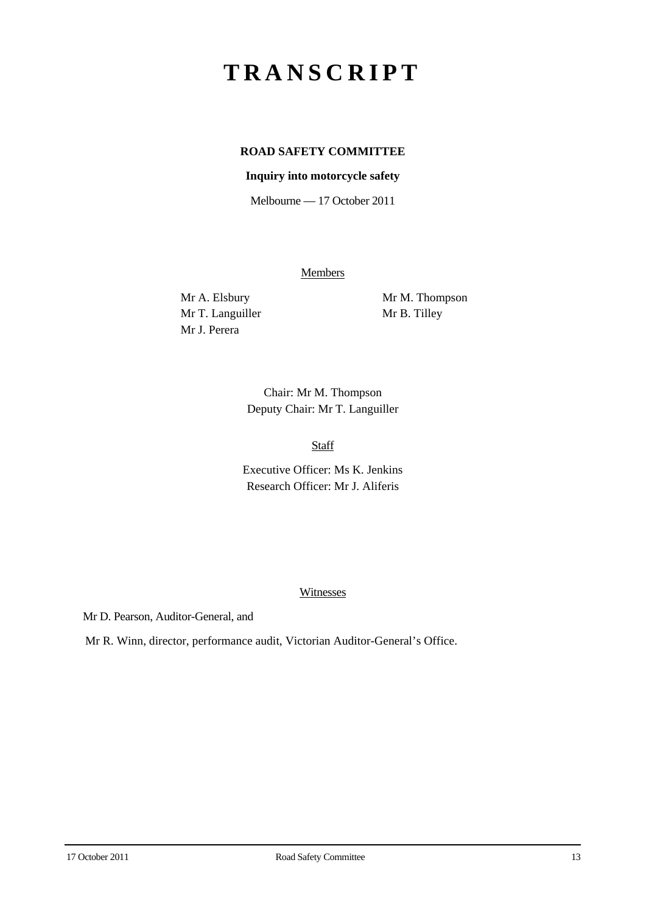# **TRANSCRIPT**

## **ROAD SAFETY COMMITTEE**

#### **Inquiry into motorcycle safety**

Melbourne — 17 October 2011

**Members** 

Mr T. Languiller Mr B. Tilley Mr J. Perera

Mr A. Elsbury Mr M. Thompson

Chair: Mr M. Thompson Deputy Chair: Mr T. Languiller

Staff

Executive Officer: Ms K. Jenkins Research Officer: Mr J. Aliferis

#### Witnesses

Mr D. Pearson, Auditor-General, and

Mr R. Winn, director, performance audit, Victorian Auditor-General's Office.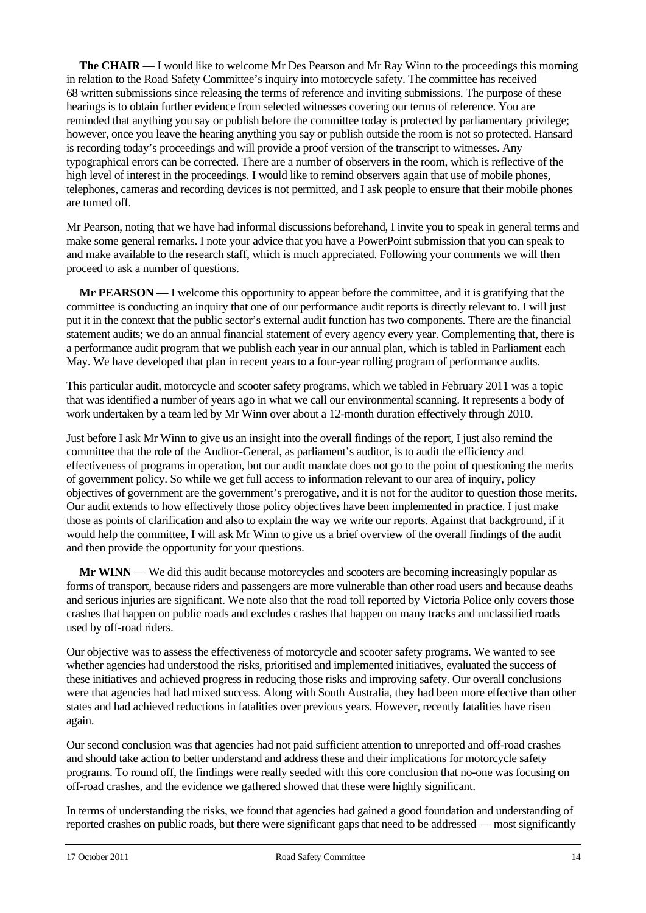**The CHAIR** — I would like to welcome Mr Des Pearson and Mr Ray Winn to the proceedings this morning in relation to the Road Safety Committee's inquiry into motorcycle safety. The committee has received 68 written submissions since releasing the terms of reference and inviting submissions. The purpose of these hearings is to obtain further evidence from selected witnesses covering our terms of reference. You are reminded that anything you say or publish before the committee today is protected by parliamentary privilege; however, once you leave the hearing anything you say or publish outside the room is not so protected. Hansard is recording today's proceedings and will provide a proof version of the transcript to witnesses. Any typographical errors can be corrected. There are a number of observers in the room, which is reflective of the high level of interest in the proceedings. I would like to remind observers again that use of mobile phones, telephones, cameras and recording devices is not permitted, and I ask people to ensure that their mobile phones are turned off.

Mr Pearson, noting that we have had informal discussions beforehand, I invite you to speak in general terms and make some general remarks. I note your advice that you have a PowerPoint submission that you can speak to and make available to the research staff, which is much appreciated. Following your comments we will then proceed to ask a number of questions.

**Mr PEARSON** — I welcome this opportunity to appear before the committee, and it is gratifying that the committee is conducting an inquiry that one of our performance audit reports is directly relevant to. I will just put it in the context that the public sector's external audit function has two components. There are the financial statement audits; we do an annual financial statement of every agency every year. Complementing that, there is a performance audit program that we publish each year in our annual plan, which is tabled in Parliament each May. We have developed that plan in recent years to a four-year rolling program of performance audits.

This particular audit, motorcycle and scooter safety programs, which we tabled in February 2011 was a topic that was identified a number of years ago in what we call our environmental scanning. It represents a body of work undertaken by a team led by Mr Winn over about a 12-month duration effectively through 2010.

Just before I ask Mr Winn to give us an insight into the overall findings of the report, I just also remind the committee that the role of the Auditor-General, as parliament's auditor, is to audit the efficiency and effectiveness of programs in operation, but our audit mandate does not go to the point of questioning the merits of government policy. So while we get full access to information relevant to our area of inquiry, policy objectives of government are the government's prerogative, and it is not for the auditor to question those merits. Our audit extends to how effectively those policy objectives have been implemented in practice. I just make those as points of clarification and also to explain the way we write our reports. Against that background, if it would help the committee, I will ask Mr Winn to give us a brief overview of the overall findings of the audit and then provide the opportunity for your questions.

**Mr WINN** — We did this audit because motorcycles and scooters are becoming increasingly popular as forms of transport, because riders and passengers are more vulnerable than other road users and because deaths and serious injuries are significant. We note also that the road toll reported by Victoria Police only covers those crashes that happen on public roads and excludes crashes that happen on many tracks and unclassified roads used by off-road riders.

Our objective was to assess the effectiveness of motorcycle and scooter safety programs. We wanted to see whether agencies had understood the risks, prioritised and implemented initiatives, evaluated the success of these initiatives and achieved progress in reducing those risks and improving safety. Our overall conclusions were that agencies had had mixed success. Along with South Australia, they had been more effective than other states and had achieved reductions in fatalities over previous years. However, recently fatalities have risen again.

Our second conclusion was that agencies had not paid sufficient attention to unreported and off-road crashes and should take action to better understand and address these and their implications for motorcycle safety programs. To round off, the findings were really seeded with this core conclusion that no-one was focusing on off-road crashes, and the evidence we gathered showed that these were highly significant.

In terms of understanding the risks, we found that agencies had gained a good foundation and understanding of reported crashes on public roads, but there were significant gaps that need to be addressed — most significantly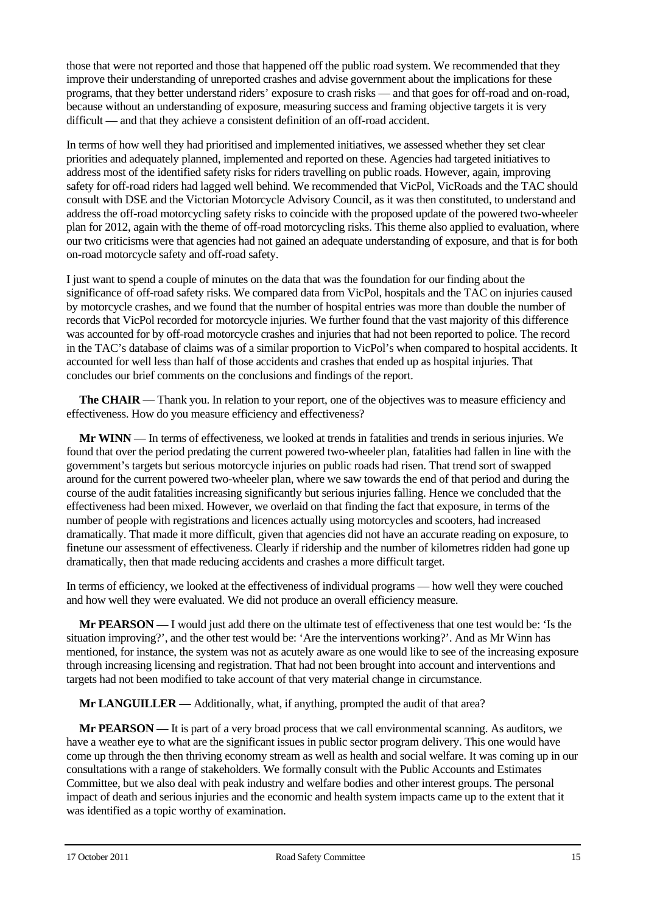those that were not reported and those that happened off the public road system. We recommended that they improve their understanding of unreported crashes and advise government about the implications for these programs, that they better understand riders' exposure to crash risks — and that goes for off-road and on-road, because without an understanding of exposure, measuring success and framing objective targets it is very difficult — and that they achieve a consistent definition of an off-road accident.

In terms of how well they had prioritised and implemented initiatives, we assessed whether they set clear priorities and adequately planned, implemented and reported on these. Agencies had targeted initiatives to address most of the identified safety risks for riders travelling on public roads. However, again, improving safety for off-road riders had lagged well behind. We recommended that VicPol, VicRoads and the TAC should consult with DSE and the Victorian Motorcycle Advisory Council, as it was then constituted, to understand and address the off-road motorcycling safety risks to coincide with the proposed update of the powered two-wheeler plan for 2012, again with the theme of off-road motorcycling risks. This theme also applied to evaluation, where our two criticisms were that agencies had not gained an adequate understanding of exposure, and that is for both on-road motorcycle safety and off-road safety.

I just want to spend a couple of minutes on the data that was the foundation for our finding about the significance of off-road safety risks. We compared data from VicPol, hospitals and the TAC on injuries caused by motorcycle crashes, and we found that the number of hospital entries was more than double the number of records that VicPol recorded for motorcycle injuries. We further found that the vast majority of this difference was accounted for by off-road motorcycle crashes and injuries that had not been reported to police. The record in the TAC's database of claims was of a similar proportion to VicPol's when compared to hospital accidents. It accounted for well less than half of those accidents and crashes that ended up as hospital injuries. That concludes our brief comments on the conclusions and findings of the report.

**The CHAIR** — Thank you. In relation to your report, one of the objectives was to measure efficiency and effectiveness. How do you measure efficiency and effectiveness?

**Mr WINN** — In terms of effectiveness, we looked at trends in fatalities and trends in serious injuries. We found that over the period predating the current powered two-wheeler plan, fatalities had fallen in line with the government's targets but serious motorcycle injuries on public roads had risen. That trend sort of swapped around for the current powered two-wheeler plan, where we saw towards the end of that period and during the course of the audit fatalities increasing significantly but serious injuries falling. Hence we concluded that the effectiveness had been mixed. However, we overlaid on that finding the fact that exposure, in terms of the number of people with registrations and licences actually using motorcycles and scooters, had increased dramatically. That made it more difficult, given that agencies did not have an accurate reading on exposure, to finetune our assessment of effectiveness. Clearly if ridership and the number of kilometres ridden had gone up dramatically, then that made reducing accidents and crashes a more difficult target.

In terms of efficiency, we looked at the effectiveness of individual programs — how well they were couched and how well they were evaluated. We did not produce an overall efficiency measure.

**Mr PEARSON** — I would just add there on the ultimate test of effectiveness that one test would be: 'Is the situation improving?', and the other test would be: 'Are the interventions working?'. And as Mr Winn has mentioned, for instance, the system was not as acutely aware as one would like to see of the increasing exposure through increasing licensing and registration. That had not been brought into account and interventions and targets had not been modified to take account of that very material change in circumstance.

**Mr LANGUILLER** — Additionally, what, if anything, prompted the audit of that area?

**Mr PEARSON** — It is part of a very broad process that we call environmental scanning. As auditors, we have a weather eve to what are the significant issues in public sector program delivery. This one would have come up through the then thriving economy stream as well as health and social welfare. It was coming up in our consultations with a range of stakeholders. We formally consult with the Public Accounts and Estimates Committee, but we also deal with peak industry and welfare bodies and other interest groups. The personal impact of death and serious injuries and the economic and health system impacts came up to the extent that it was identified as a topic worthy of examination.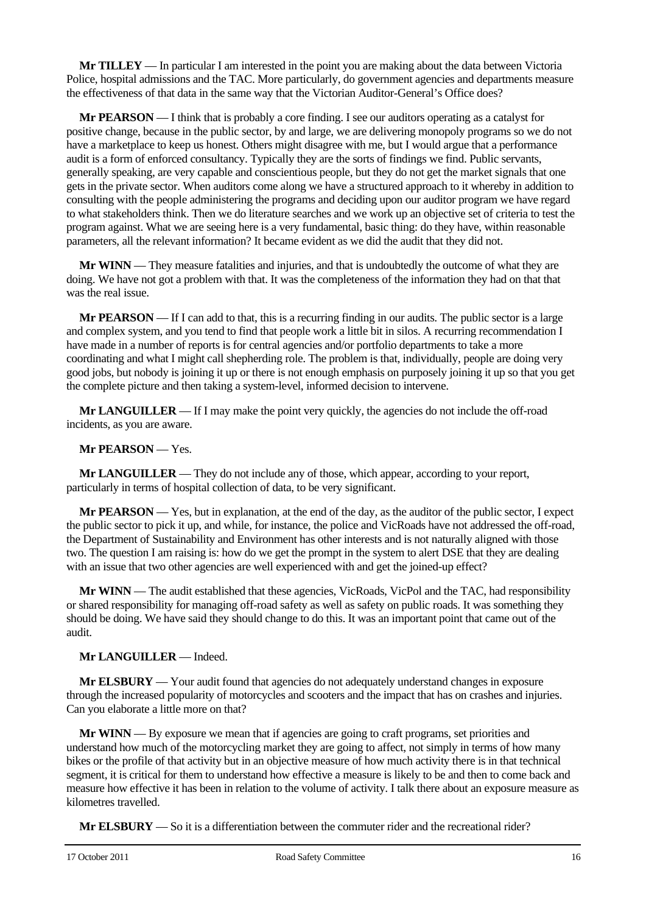**Mr TILLEY** — In particular I am interested in the point you are making about the data between Victoria Police, hospital admissions and the TAC. More particularly, do government agencies and departments measure the effectiveness of that data in the same way that the Victorian Auditor-General's Office does?

**Mr PEARSON** — I think that is probably a core finding. I see our auditors operating as a catalyst for positive change, because in the public sector, by and large, we are delivering monopoly programs so we do not have a marketplace to keep us honest. Others might disagree with me, but I would argue that a performance audit is a form of enforced consultancy. Typically they are the sorts of findings we find. Public servants, generally speaking, are very capable and conscientious people, but they do not get the market signals that one gets in the private sector. When auditors come along we have a structured approach to it whereby in addition to consulting with the people administering the programs and deciding upon our auditor program we have regard to what stakeholders think. Then we do literature searches and we work up an objective set of criteria to test the program against. What we are seeing here is a very fundamental, basic thing: do they have, within reasonable parameters, all the relevant information? It became evident as we did the audit that they did not.

**Mr WINN** — They measure fatalities and injuries, and that is undoubtedly the outcome of what they are doing. We have not got a problem with that. It was the completeness of the information they had on that that was the real issue.

**Mr PEARSON** — If I can add to that, this is a recurring finding in our audits. The public sector is a large and complex system, and you tend to find that people work a little bit in silos. A recurring recommendation I have made in a number of reports is for central agencies and/or portfolio departments to take a more coordinating and what I might call shepherding role. The problem is that, individually, people are doing very good jobs, but nobody is joining it up or there is not enough emphasis on purposely joining it up so that you get the complete picture and then taking a system-level, informed decision to intervene.

**Mr LANGUILLER** — If I may make the point very quickly, the agencies do not include the off-road incidents, as you are aware.

#### **Mr PEARSON** — Yes.

**Mr LANGUILLER** — They do not include any of those, which appear, according to your report, particularly in terms of hospital collection of data, to be very significant.

**Mr PEARSON** — Yes, but in explanation, at the end of the day, as the auditor of the public sector, I expect the public sector to pick it up, and while, for instance, the police and VicRoads have not addressed the off-road, the Department of Sustainability and Environment has other interests and is not naturally aligned with those two. The question I am raising is: how do we get the prompt in the system to alert DSE that they are dealing with an issue that two other agencies are well experienced with and get the joined-up effect?

**Mr WINN** — The audit established that these agencies, VicRoads, VicPol and the TAC, had responsibility or shared responsibility for managing off-road safety as well as safety on public roads. It was something they should be doing. We have said they should change to do this. It was an important point that came out of the audit.

#### **Mr LANGUILLER** — Indeed.

**Mr ELSBURY** — Your audit found that agencies do not adequately understand changes in exposure through the increased popularity of motorcycles and scooters and the impact that has on crashes and injuries. Can you elaborate a little more on that?

**Mr WINN** — By exposure we mean that if agencies are going to craft programs, set priorities and understand how much of the motorcycling market they are going to affect, not simply in terms of how many bikes or the profile of that activity but in an objective measure of how much activity there is in that technical segment, it is critical for them to understand how effective a measure is likely to be and then to come back and measure how effective it has been in relation to the volume of activity. I talk there about an exposure measure as kilometres travelled.

**Mr ELSBURY** — So it is a differentiation between the commuter rider and the recreational rider?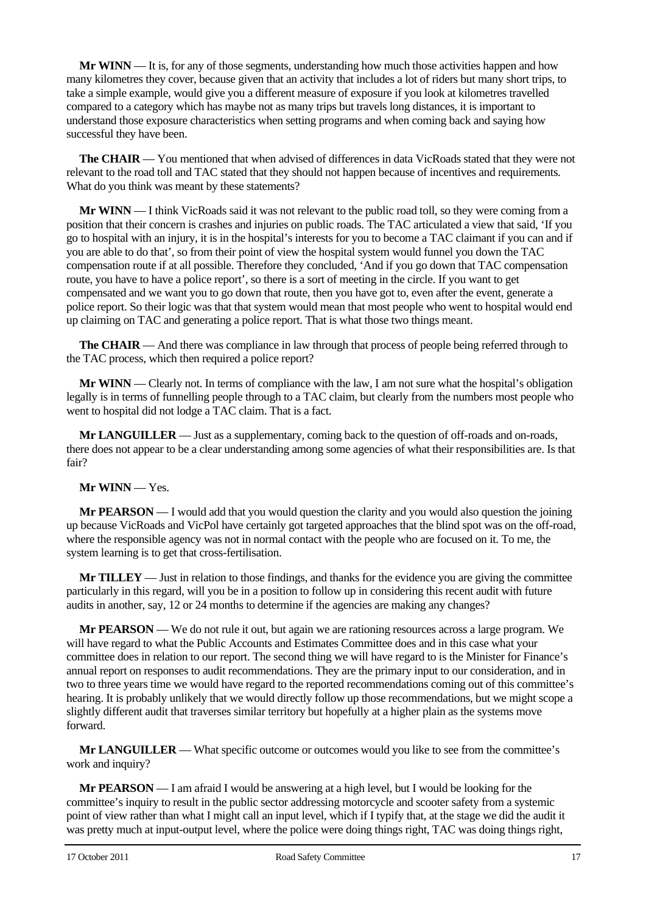**Mr WINN** — It is, for any of those segments, understanding how much those activities happen and how many kilometres they cover, because given that an activity that includes a lot of riders but many short trips, to take a simple example, would give you a different measure of exposure if you look at kilometres travelled compared to a category which has maybe not as many trips but travels long distances, it is important to understand those exposure characteristics when setting programs and when coming back and saying how successful they have been.

**The CHAIR** — You mentioned that when advised of differences in data VicRoads stated that they were not relevant to the road toll and TAC stated that they should not happen because of incentives and requirements. What do you think was meant by these statements?

**Mr WINN** — I think VicRoads said it was not relevant to the public road toll, so they were coming from a position that their concern is crashes and injuries on public roads. The TAC articulated a view that said, 'If you go to hospital with an injury, it is in the hospital's interests for you to become a TAC claimant if you can and if you are able to do that', so from their point of view the hospital system would funnel you down the TAC compensation route if at all possible. Therefore they concluded, 'And if you go down that TAC compensation route, you have to have a police report', so there is a sort of meeting in the circle. If you want to get compensated and we want you to go down that route, then you have got to, even after the event, generate a police report. So their logic was that that system would mean that most people who went to hospital would end up claiming on TAC and generating a police report. That is what those two things meant.

**The CHAIR** — And there was compliance in law through that process of people being referred through to the TAC process, which then required a police report?

**Mr WINN** — Clearly not. In terms of compliance with the law, I am not sure what the hospital's obligation legally is in terms of funnelling people through to a TAC claim, but clearly from the numbers most people who went to hospital did not lodge a TAC claim. That is a fact.

**Mr LANGUILLER** — Just as a supplementary, coming back to the question of off-roads and on-roads, there does not appear to be a clear understanding among some agencies of what their responsibilities are. Is that fair?

### **Mr WINN** — Yes.

**Mr PEARSON** — I would add that you would question the clarity and you would also question the joining up because VicRoads and VicPol have certainly got targeted approaches that the blind spot was on the off-road, where the responsible agency was not in normal contact with the people who are focused on it. To me, the system learning is to get that cross-fertilisation.

**Mr TILLEY** — Just in relation to those findings, and thanks for the evidence you are giving the committee particularly in this regard, will you be in a position to follow up in considering this recent audit with future audits in another, say, 12 or 24 months to determine if the agencies are making any changes?

**Mr PEARSON** — We do not rule it out, but again we are rationing resources across a large program. We will have regard to what the Public Accounts and Estimates Committee does and in this case what your committee does in relation to our report. The second thing we will have regard to is the Minister for Finance's annual report on responses to audit recommendations. They are the primary input to our consideration, and in two to three years time we would have regard to the reported recommendations coming out of this committee's hearing. It is probably unlikely that we would directly follow up those recommendations, but we might scope a slightly different audit that traverses similar territory but hopefully at a higher plain as the systems move forward.

**Mr LANGUILLER** — What specific outcome or outcomes would you like to see from the committee's work and inquiry?

**Mr PEARSON** — I am afraid I would be answering at a high level, but I would be looking for the committee's inquiry to result in the public sector addressing motorcycle and scooter safety from a systemic point of view rather than what I might call an input level, which if I typify that, at the stage we did the audit it was pretty much at input-output level, where the police were doing things right, TAC was doing things right,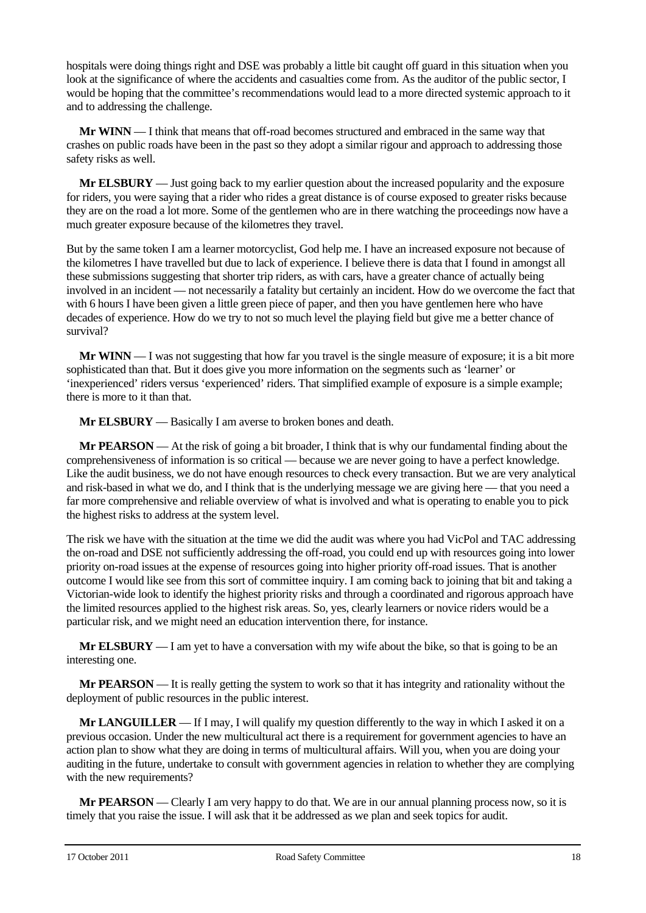hospitals were doing things right and DSE was probably a little bit caught off guard in this situation when you look at the significance of where the accidents and casualties come from. As the auditor of the public sector, I would be hoping that the committee's recommendations would lead to a more directed systemic approach to it and to addressing the challenge.

**Mr WINN** — I think that means that off-road becomes structured and embraced in the same way that crashes on public roads have been in the past so they adopt a similar rigour and approach to addressing those safety risks as well.

**Mr ELSBURY** — Just going back to my earlier question about the increased popularity and the exposure for riders, you were saying that a rider who rides a great distance is of course exposed to greater risks because they are on the road a lot more. Some of the gentlemen who are in there watching the proceedings now have a much greater exposure because of the kilometres they travel.

But by the same token I am a learner motorcyclist, God help me. I have an increased exposure not because of the kilometres I have travelled but due to lack of experience. I believe there is data that I found in amongst all these submissions suggesting that shorter trip riders, as with cars, have a greater chance of actually being involved in an incident — not necessarily a fatality but certainly an incident. How do we overcome the fact that with 6 hours I have been given a little green piece of paper, and then you have gentlemen here who have decades of experience. How do we try to not so much level the playing field but give me a better chance of survival?

**Mr WINN** — I was not suggesting that how far you travel is the single measure of exposure; it is a bit more sophisticated than that. But it does give you more information on the segments such as 'learner' or 'inexperienced' riders versus 'experienced' riders. That simplified example of exposure is a simple example; there is more to it than that.

**Mr ELSBURY** — Basically I am averse to broken bones and death.

**Mr PEARSON** — At the risk of going a bit broader, I think that is why our fundamental finding about the comprehensiveness of information is so critical — because we are never going to have a perfect knowledge. Like the audit business, we do not have enough resources to check every transaction. But we are very analytical and risk-based in what we do, and I think that is the underlying message we are giving here — that you need a far more comprehensive and reliable overview of what is involved and what is operating to enable you to pick the highest risks to address at the system level.

The risk we have with the situation at the time we did the audit was where you had VicPol and TAC addressing the on-road and DSE not sufficiently addressing the off-road, you could end up with resources going into lower priority on-road issues at the expense of resources going into higher priority off-road issues. That is another outcome I would like see from this sort of committee inquiry. I am coming back to joining that bit and taking a Victorian-wide look to identify the highest priority risks and through a coordinated and rigorous approach have the limited resources applied to the highest risk areas. So, yes, clearly learners or novice riders would be a particular risk, and we might need an education intervention there, for instance.

**Mr ELSBURY** — I am yet to have a conversation with my wife about the bike, so that is going to be an interesting one.

**Mr PEARSON** — It is really getting the system to work so that it has integrity and rationality without the deployment of public resources in the public interest.

**Mr LANGUILLER** — If I may, I will qualify my question differently to the way in which I asked it on a previous occasion. Under the new multicultural act there is a requirement for government agencies to have an action plan to show what they are doing in terms of multicultural affairs. Will you, when you are doing your auditing in the future, undertake to consult with government agencies in relation to whether they are complying with the new requirements?

**Mr PEARSON** — Clearly I am very happy to do that. We are in our annual planning process now, so it is timely that you raise the issue. I will ask that it be addressed as we plan and seek topics for audit.